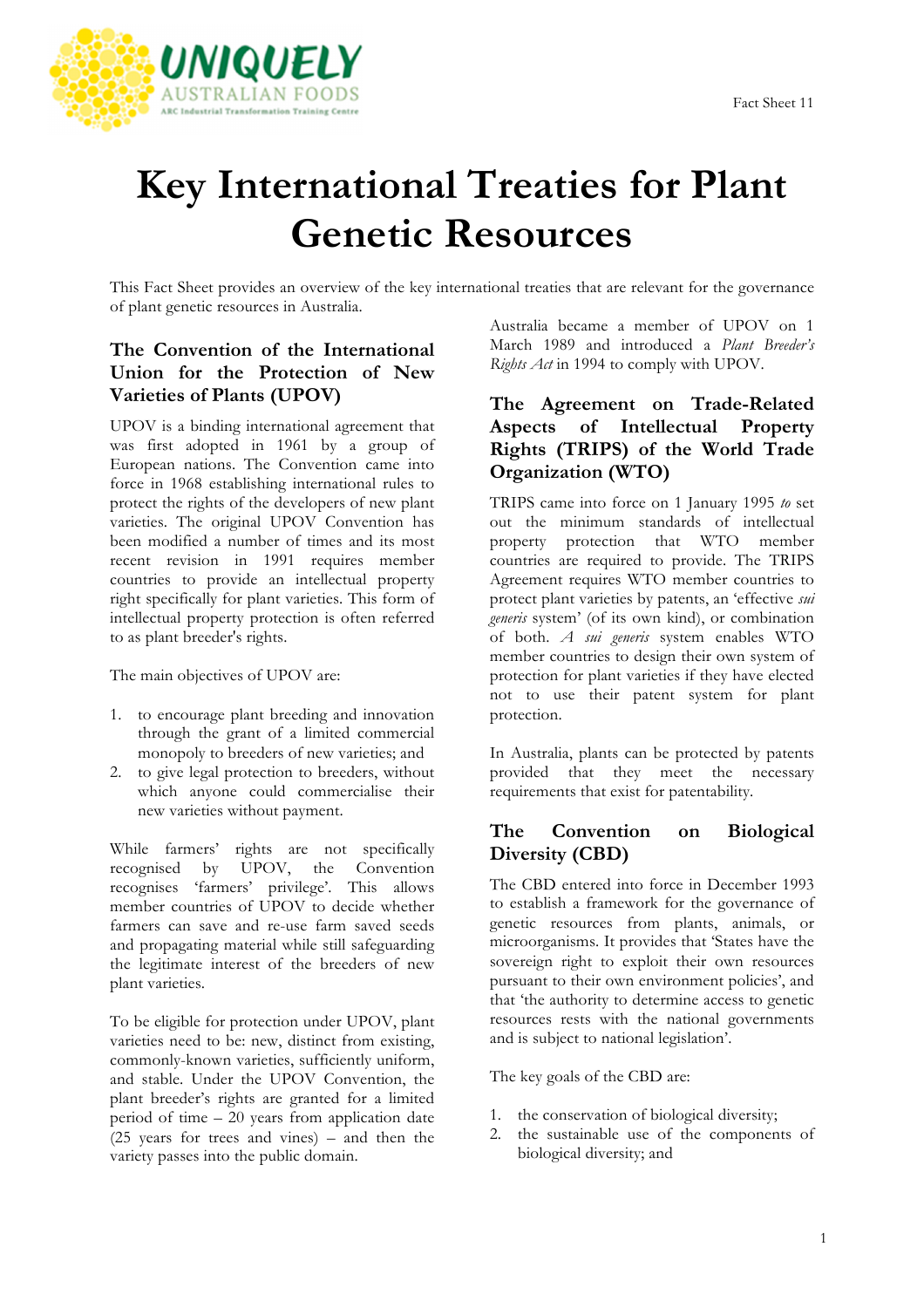

# **Key International Treaties for Plant Genetic Resources**

This Fact Sheet provides an overview of the key international treaties that are relevant for the governance of plant genetic resources in Australia.

## **The Convention of the International Union for the Protection of New Varieties of Plants (UPOV)**

UPOV is a binding international agreement that was first adopted in 1961 by a group of European nations. The Convention came into force in 1968 establishing international rules to protect the rights of the developers of new plant varieties. The original UPOV Convention has been modified a number of times and its most recent revision in 1991 requires member countries to provide an intellectual property right specifically for plant varieties. This form of intellectual property protection is often referred to as plant breeder's rights.

The main objectives of UPOV are:

- 1. to encourage plant breeding and innovation through the grant of a limited commercial monopoly to breeders of new varieties; and
- 2. to give legal protection to breeders, without which anyone could commercialise their new varieties without payment.

While farmers' rights are not specifically recognised by UPOV, the Convention recognises 'farmers' privilege'. This allows member countries of UPOV to decide whether farmers can save and re-use farm saved seeds and propagating material while still safeguarding the legitimate interest of the breeders of new plant varieties.

To be eligible for protection under UPOV, plant varieties need to be: new, distinct from existing, commonly-known varieties, sufficiently uniform, and stable. Under the UPOV Convention, the plant breeder's rights are granted for a limited period of time – 20 years from application date (25 years for trees and vines) – and then the variety passes into the public domain.

Australia became a member of UPOV on 1 March 1989 and introduced a *Plant Breeder's Rights Act* in 1994 to comply with UPOV.

### **The Agreement on Trade-Related Aspects of Intellectual Property Rights (TRIPS) of the World Trade Organization (WTO)**

TRIPS came into force on 1 January 1995 *to* set out the minimum standards of intellectual property protection that WTO member countries are required to provide. The TRIPS Agreement requires WTO member countries to protect plant varieties by patents, an 'effective *sui generis* system' (of its own kind), or combination of both. *A sui generis* system enables WTO member countries to design their own system of protection for plant varieties if they have elected not to use their patent system for plant protection.

In Australia, plants can be protected by patents provided that they meet the necessary requirements that exist for patentability.

### **The Convention on Biological Diversity (CBD)**

The CBD entered into force in December 1993 to establish a framework for the governance of genetic resources from plants, animals, or microorganisms. It provides that 'States have the sovereign right to exploit their own resources pursuant to their own environment policies', and that 'the authority to determine access to genetic resources rests with the national governments and is subject to national legislation'.

The key goals of the CBD are:

- 1. the conservation of biological diversity;
- 2. the sustainable use of the components of biological diversity; and